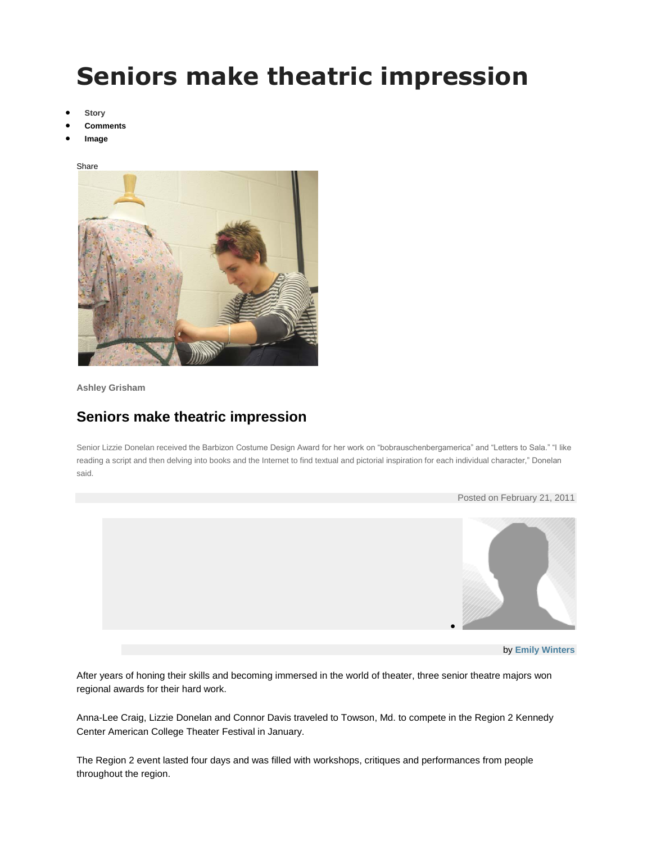## **Seniors make theatric impression**

- **[Story](http://www.breezejmu.org/life/article_f207d4a6-3d48-11e0-8817-0017a4a78c22.html?mode=story)**
- **[Comments](http://www.breezejmu.org/life/article_f207d4a6-3d48-11e0-8817-0017a4a78c22.html#user-comment-area)**
- **[Image](http://www.breezejmu.org/life/article_f207d4a6-3d48-11e0-8817-0017a4a78c22.html?mode=image)**





**Ashley Grisham**

## **Seniors make theatric impression**

Senior Lizzie Donelan received the Barbizon Costume Design Award for her work on "bobrauschenbergamerica" and "Letters to Sala." "I like reading a script and then delving into books and the Internet to find textual and pictorial inspiration for each individual character," Donelan said.



After years of honing their skills and becoming immersed in the world of theater, three senior theatre majors won regional awards for their hard work.

Anna-Lee Craig, Lizzie Donelan and Connor Davis traveled to Towson, Md. to compete in the Region 2 Kennedy Center American College Theater Festival in January.

The Region 2 event lasted four days and was filled with workshops, critiques and performances from people throughout the region.